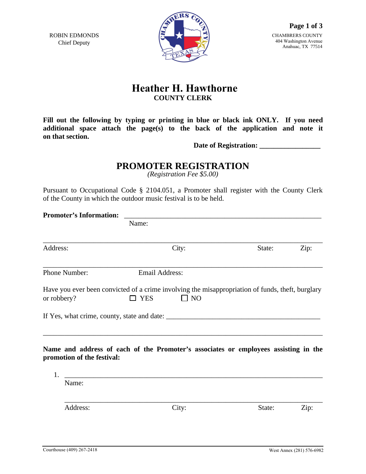ROBIN EDMONDS Chief Deputy



## **Heather H. Hawthorne COUNTY CLERK**

**Fill out the following by typing or printing in blue or black ink ONLY. If you need additional space attach the page(s) to the back of the application and note it on that section.** 

**Date of Registration: \_\_\_\_\_\_\_\_\_\_\_\_\_\_\_\_\_** 

## **PROMOTER REGISTRATION**

*(Registration Fee \$5.00)* 

Pursuant to Occupational Code § 2104.051, a Promoter shall register with the County Clerk of the County in which the outdoor music festival is to be held.

| <b>Promoter's Information:</b> |                                                                                                                   |                                                 |           |  |        |      |  |
|--------------------------------|-------------------------------------------------------------------------------------------------------------------|-------------------------------------------------|-----------|--|--------|------|--|
|                                |                                                                                                                   |                                                 |           |  |        |      |  |
| Address:                       |                                                                                                                   |                                                 | City:     |  | State: | Zip: |  |
|                                | Phone Number:                                                                                                     | <b>Email Address:</b>                           |           |  |        |      |  |
| or robbery?                    | Have you ever been convicted of a crime involving the misappropriation of funds, theft, burglary                  | <b>YES</b>                                      | $\Box$ NO |  |        |      |  |
|                                | If Yes, what crime, county, state and date:                                                                       |                                                 |           |  |        |      |  |
| 1.                             | Name and address of each of the Promoter's associates or employees assisting in the<br>promotion of the festival: | <u> 1980 - John Stein, Amerikaansk kanton (</u> |           |  |        |      |  |
|                                | Name:                                                                                                             |                                                 |           |  |        |      |  |
|                                | Address:                                                                                                          |                                                 | City:     |  | State: | Zip: |  |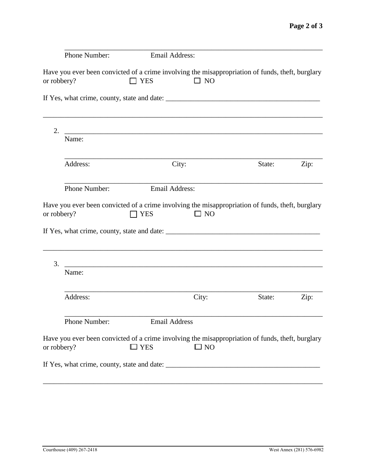|             | Phone Number: | <b>Email Address:</b>                                                                                            |              |        |      |
|-------------|---------------|------------------------------------------------------------------------------------------------------------------|--------------|--------|------|
| or robbery? |               | Have you ever been convicted of a crime involving the misappropriation of funds, theft, burglary<br><b>J</b> YES | $\square$ NO |        |      |
|             |               |                                                                                                                  |              |        |      |
| 2.          |               |                                                                                                                  |              |        |      |
|             | Name:         |                                                                                                                  |              |        |      |
|             | Address:      | City:                                                                                                            |              | State: | Zip: |
|             | Phone Number: | <b>Email Address:</b>                                                                                            |              |        |      |
| or robbery? |               | Have you ever been convicted of a crime involving the misappropriation of funds, theft, burglary<br>7 YES        | $\Box$ NO    |        |      |
| 3.          |               |                                                                                                                  |              |        |      |
|             | Name:         |                                                                                                                  |              |        |      |
|             | Address:      |                                                                                                                  | City:        | State: | Zip: |
|             | Phone Number: | <b>Email Address</b>                                                                                             |              |        |      |
| or robbery? |               | Have you ever been convicted of a crime involving the misappropriation of funds, theft, burglary<br>$\Box$ YES   | $\square$ NO |        |      |
|             |               |                                                                                                                  |              |        |      |

\_\_\_\_\_\_\_\_\_\_\_\_\_\_\_\_\_\_\_\_\_\_\_\_\_\_\_\_\_\_\_\_\_\_\_\_\_\_\_\_\_\_\_\_\_\_\_\_\_\_\_\_\_\_\_\_\_\_\_\_\_\_\_\_\_\_\_\_\_\_\_\_\_\_\_\_\_\_